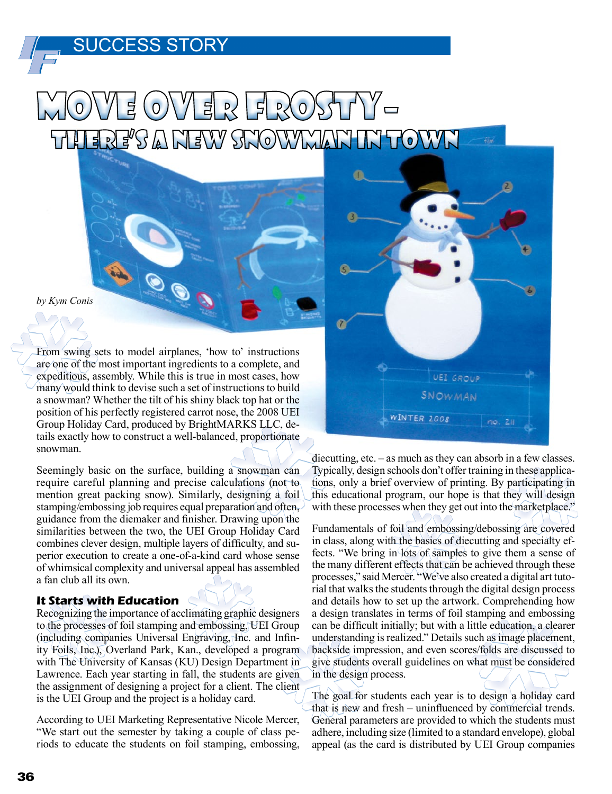### SUCCESS STORY

# OVVER FROST There's a New Snowman in Town

*by Kym Conis*

From swing sets to model airplanes, 'how to' instructions are one of the most important ingredients to a complete, and expeditious, assembly. While this is true in most cases, how many would think to devise such a set of instructions to build a snowman? Whether the tilt of his shiny black top hat or the position of his perfectly registered carrot nose, the 2008 UEI Group Holiday Card, produced by BrightMARKS LLC, details exactly how to construct a well-balanced, proportionate snowman.

Seemingly basic on the surface, building a snowman can require careful planning and precise calculations (not to mention great packing snow). Similarly, designing a foil stamping/embossing job requires equal preparation and often, guidance from the diemaker and finisher. Drawing upon the similarities between the two, the UEI Group Holiday Card combines clever design, multiple layers of difficulty, and superior execution to create a one-of-a-kind card whose sense of whimsical complexity and universal appeal has assembled a fan club all its own.

#### **It Starts with Education**

Recognizing the importance of acclimating graphic designers to the processes of foil stamping and embossing, UEI Group (including companies Universal Engraving, Inc. and Infinity Foils, Inc.), Overland Park, Kan., developed a program with The University of Kansas (KU) Design Department in Lawrence. Each year starting in fall, the students are given the assignment of designing a project for a client. The client is the UEI Group and the project is a holiday card.

According to UEI Marketing Representative Nicole Mercer, "We start out the semester by taking a couple of class periods to educate the students on foil stamping, embossing,



diecutting, etc. – as much as they can absorb in a few classes. Typically, design schools don't offer training in these applications, only a brief overview of printing. By participating in this educational program, our hope is that they will design with these processes when they get out into the marketplace."

Fundamentals of foil and embossing/debossing are covered in class, along with the basics of diecutting and specialty effects. "We bring in lots of samples to give them a sense of the many different effects that can be achieved through these processes," said Mercer. "We've also created a digital art tutorial that walks the students through the digital design process and details how to set up the artwork. Comprehending how a design translates in terms of foil stamping and embossing can be difficult initially; but with a little education, a clearer understanding is realized." Details such as image placement, backside impression, and even scores/folds are discussed to give students overall guidelines on what must be considered in the design process.

The goal for students each year is to design a holiday card that is new and fresh – uninfluenced by commercial trends. General parameters are provided to which the students must adhere, including size (limited to a standard envelope), global appeal (as the card is distributed by UEI Group companies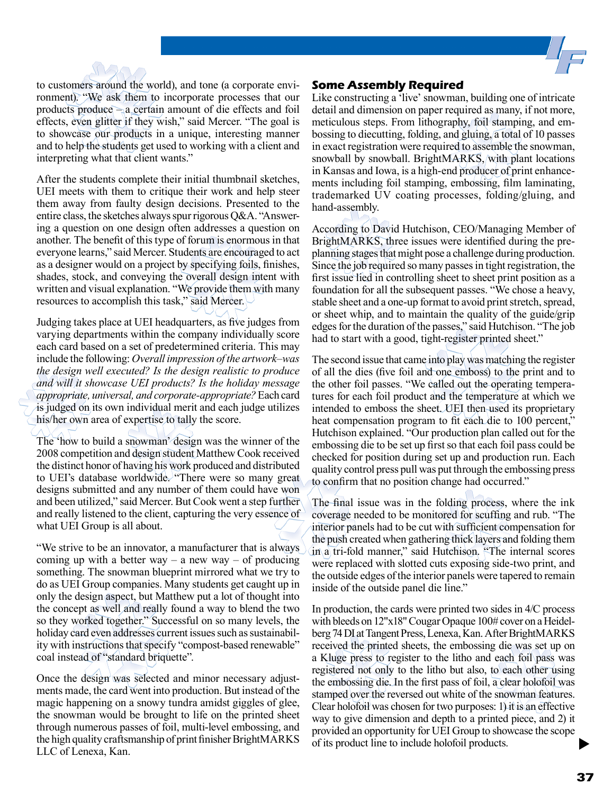



After the students complete their initial thumbnail sketches, UEI meets with them to critique their work and help steer them away from faulty design decisions. Presented to the entire class, the sketches always spur rigorous Q&A. "Answering a question on one design often addresses a question on another. The benefit of this type of forum is enormous in that everyone learns," said Mercer. Students are encouraged to act as a designer would on a project by specifying foils, finishes, shades, stock, and conveying the overall design intent with written and visual explanation. "We provide them with many resources to accomplish this task," said Mercer.

Judging takes place at UEI headquarters, as five judges from varying departments within the company individually score each card based on a set of predetermined criteria. This may include the following: *Overall impression of the artwork–was the design well executed? Is the design realistic to produce and will it showcase UEI products? Is the holiday message appropriate, universal, and corporate-appropriate?* Each card is judged on its own individual merit and each judge utilizes his/her own area of expertise to tally the score.

The 'how to build a snowman' design was the winner of the 2008 competition and design student Matthew Cook received the distinct honor of having his work produced and distributed to UEI's database worldwide. "There were so many great designs submitted and any number of them could have won and been utilized," said Mercer. But Cook went a step further and really listened to the client, capturing the very essence of what UEI Group is all about.

"We strive to be an innovator, a manufacturer that is always coming up with a better way – a new way – of producing something. The snowman blueprint mirrored what we try to do as UEI Group companies. Many students get caught up in only the design aspect, but Matthew put a lot of thought into the concept as well and really found a way to blend the two so they worked together." Successful on so many levels, the holiday card even addresses current issues such as sustainability with instructions that specify "compost-based renewable" coal instead of "standard briquette".

Once the design was selected and minor necessary adjustments made, the card went into production. But instead of the magic happening on a snowy tundra amidst giggles of glee, the snowman would be brought to life on the printed sheet through numerous passes of foil, multi-level embossing, and the high quality craftsmanship of print finisher BrightMARKS LLC of Lenexa, Kan.

#### **Some Assembly Required**

Like constructing a 'live' snowman, building one of intricate detail and dimension on paper required as many, if not more, meticulous steps. From lithography, foil stamping, and embossing to diecutting, folding, and gluing, a total of 10 passes in exact registration were required to assemble the snowman, snowball by snowball. BrightMARKS, with plant locations in Kansas and Iowa, is a high-end producer of print enhancements including foil stamping, embossing, film laminating, trademarked UV coating processes, folding/gluing, and hand-assembly.

According to David Hutchison, CEO/Managing Member of BrightMARKS, three issues were identified during the preplanning stages that might pose a challenge during production. Since the job required so many passes in tight registration, the first issue lied in controlling sheet to sheet print position as a foundation for all the subsequent passes. "We chose a heavy, stable sheet and a one-up format to avoid print stretch, spread, or sheet whip, and to maintain the quality of the guide/grip edges for the duration of the passes," said Hutchison. "The job had to start with a good, tight-register printed sheet."

The second issue that came into play was matching the register of all the dies (five foil and one emboss) to the print and to the other foil passes. "We called out the operating temperatures for each foil product and the temperature at which we intended to emboss the sheet. UEI then used its proprietary heat compensation program to fit each die to 100 percent," Hutchison explained. "Our production plan called out for the embossing die to be set up first so that each foil pass could be checked for position during set up and production run. Each quality control press pull was put through the embossing press to confirm that no position change had occurred."

The final issue was in the folding process, where the ink coverage needed to be monitored for scuffing and rub. "The interior panels had to be cut with sufficient compensation for the push created when gathering thick layers and folding them in a tri-fold manner," said Hutchison. "The internal scores were replaced with slotted cuts exposing side-two print, and the outside edges of the interior panels were tapered to remain inside of the outside panel die line."

 $\blacktriangleright$ In production, the cards were printed two sides in 4/C process with bleeds on 12"x18" Cougar Opaque 100# cover on a Heidelberg 74 DI at Tangent Press, Lenexa, Kan. After BrightMARKS received the printed sheets, the embossing die was set up on a Kluge press to register to the litho and each foil pass was registered not only to the litho but also, to each other using the embossing die. In the first pass of foil, a clear holofoil was stamped over the reversed out white of the snowman features. Clear holofoil was chosen for two purposes: 1) it is an effective way to give dimension and depth to a printed piece, and 2) it provided an opportunity for UEI Group to showcase the scope of its product line to include holofoil products.